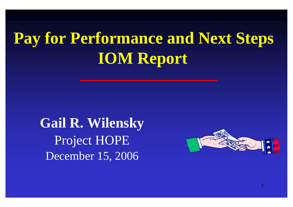# **Pay for Performance and Next Steps IOM Report**

**Gail R. Wilensky** Project HOPE December 15, 2006



1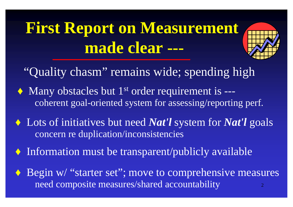# **First Report on Measurement made clear ---**



- "Quality chasm" remains wide; spending high
- $\triangle$  Many obstacles but 1<sup>st</sup> order requirement is --coherent goal-oriented system for assessing/reporting perf.
- ♦ Lots of initiatives but need *Nat'l* system for *Nat'l* goals concern re duplication/inconsistencies
- ♦ Information must be transparent/publicly available
- 2 ◆ Begin w/ "starter set"; move to comprehensive measures need composite measures/shared accountability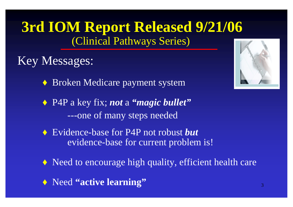#### **3rd IOM Report Released 9/21/06** (Clinical Pathways Series)

#### Key Messages:

- ♦ Broken Medicare payment system
- ♦ P4P a key fix; *not* a *"magic bullet"* ---one of many steps needed
- ♦ Evidence-base for P4P not robust *but* evidence-base for current problem is!
- ♦ Need to encourage high quality, efficient health care
- ♦ Need **"active learning"**

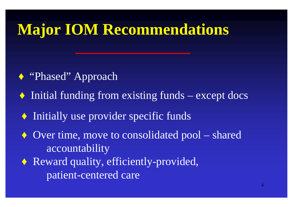### **Major IOM Recommendations**

- ◆ "Phased" Approach
- ♦ Initial funding from existing funds except docs
- ♦ Initially use provider specific funds
- ♦ Over time, move to consolidated pool shared accountability
- ♦ Reward quality, efficiently-provided, patient-centered care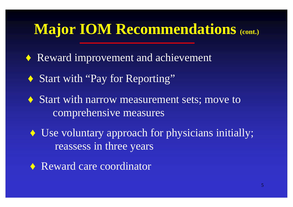### **Major IOM Recommendations (cont.)**

♦ Reward improvement and achievement

- ◆ Start with "Pay for Reporting"
- ♦ Start with narrow measurement sets; move to comprehensive measures
- ♦ Use voluntary approach for physicians initially; reassess in three years
- ♦ Reward care coordinator